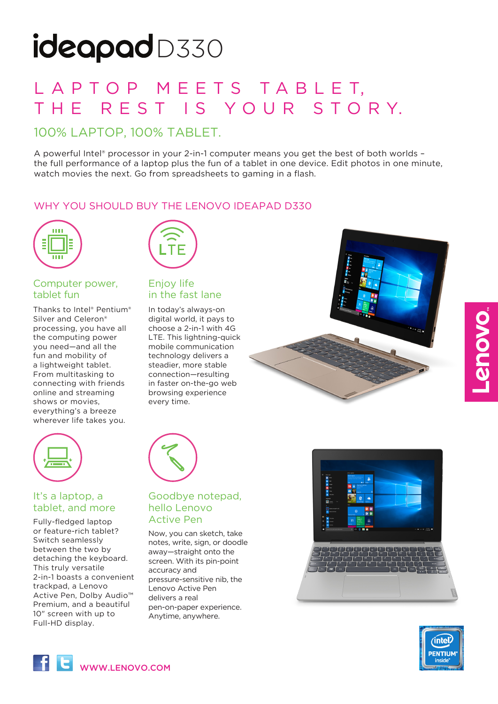# ideapadD330

# L A P T O P M E E T S T A B L E T, THE REST IS YOUR STORY.

# 100% LAPTOP, 100% TABLET.

A powerful Intel® processor in your 2-in-1 computer means you get the best of both worlds the full performance of a laptop plus the fun of a tablet in one device. Edit photos in one minute, watch movies the next. Go from spreadsheets to gaming in a flash.

# WHY YOU SHOULD BUY THE LENOVO IDEAPAD D330



## Computer power, tablet fun

Thanks to Intel® Pentium® Silver and Celeron® processing, you have all the computing power you need—and all the fun and mobility of a lightweight tablet. From multitasking to connecting with friends online and streaming shows or movies, everything's a breeze wherever life takes you.



## Enjoy life in the fast lane

In today's always-on digital world, it pays to choose a 2-in-1 with 4G LTE. This lightning-quick mobile communication technology delivers a steadier, more stable connection—resulting in faster on-the-go web browsing experience every time.





## It's a laptop, a tablet, and more

Fully-fledged laptop **Active Pen** or feature-rich tablet? Switch seamlessly between the two by detaching the keyboard. This truly versatile 2-in-1 boasts a convenient trackpad, a Lenovo Active Pen, Dolby Audio™ Premium, and a beautiful 10" screen with up to Full-HD display.

# Goodbye notepad, hello Lenovo

Now, you can sketch, take notes, write, sign, or doodle away—straight onto the screen. With its pin-point accuracy and pressure-sensitive nib, the Lenovo Active Pen delivers a real pen-on-paper experience. Anytime, anywhere.